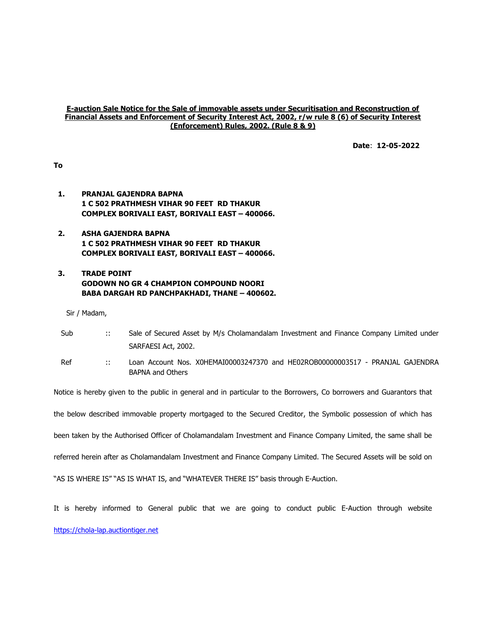#### E-auction Sale Notice for the Sale of immovable assets under Securitisation and Reconstruction of Financial Assets and Enforcement of Security Interest Act, 2002, r/w rule 8 (6) of Security Interest (Enforcement) Rules, 2002. (Rule 8 & 9)

Date: 12-05-2022

To

- 1. PRANJAL GAJENDRA BAPNA 1 C 502 PRATHMESH VIHAR 90 FEET RD THAKUR COMPLEX BORIVALI EAST, BORIVALI EAST – 400066.
- 2. ASHA GAJENDRA BAPNA 1 C 502 PRATHMESH VIHAR 90 FEET RD THAKUR COMPLEX BORIVALI EAST, BORIVALI EAST – 400066.

# 3. TRADE POINT GODOWN NO GR 4 CHAMPION COMPOUND NOORI BABA DARGAH RD PANCHPAKHADI, THANE – 400602.

Sir / Madam,

| Sub | <br>Sale of Secured Asset by M/s Cholamandalam Investment and Finance Company Limited under |
|-----|---------------------------------------------------------------------------------------------|
|     | SARFAESI Act, 2002.                                                                         |
| Ref | Loan Account Nos. X0HEMAI00003247370 and HE02ROB00000003517 - PRANJAL GAJENDRA              |

Ref :: Loan Account Nos. X0HEMAI00003247370 and HE02ROB00000003517 - PRANJAL GAJENDRA BAPNA and Others

Notice is hereby given to the public in general and in particular to the Borrowers, Co borrowers and Guarantors that

the below described immovable property mortgaged to the Secured Creditor, the Symbolic possession of which has

been taken by the Authorised Officer of Cholamandalam Investment and Finance Company Limited, the same shall be

referred herein after as Cholamandalam Investment and Finance Company Limited. The Secured Assets will be sold on

"AS IS WHERE IS" "AS IS WHAT IS, and "WHATEVER THERE IS" basis through E-Auction.

It is hereby informed to General public that we are going to conduct public E-Auction through website https://chola-lap.auctiontiger.net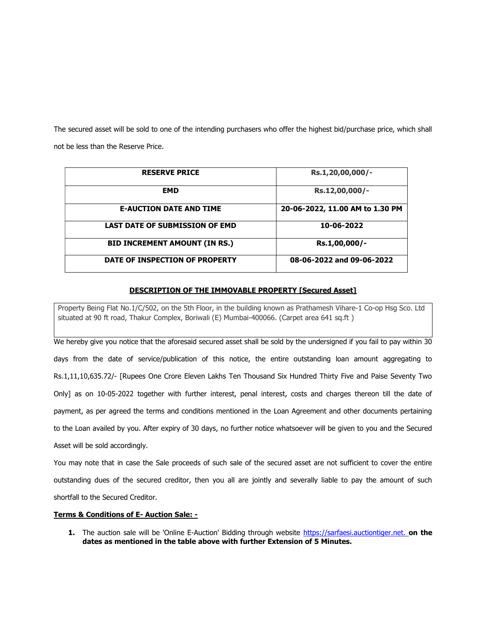The secured asset will be sold to one of the intending purchasers who offer the highest bid/purchase price, which shall not be less than the Reserve Price.

| <b>RESERVE PRICE</b>                  | Rs.1,20,00,000/-                |
|---------------------------------------|---------------------------------|
| <b>EMD</b>                            | Rs.12,00,000/-                  |
| <b>E-AUCTION DATE AND TIME</b>        | 20-06-2022, 11.00 AM to 1.30 PM |
| <b>LAST DATE OF SUBMISSION OF EMD</b> | 10-06-2022                      |
| <b>BID INCREMENT AMOUNT (IN RS.)</b>  | Rs.1,00,000/-                   |
| DATE OF INSPECTION OF PROPERTY        | 08-06-2022 and 09-06-2022       |

### DESCRIPTION OF THE IMMOVABLE PROPERTY [Secured Asset]

Property Being Flat No.1/C/502, on the 5th Floor, in the building known as Prathamesh Vihare-1 Co-op Hsg Sco. Ltd situated at 90 ft road, Thakur Complex, Boriwali (E) Mumbai-400066. (Carpet area 641 sq.ft )

We hereby give you notice that the aforesaid secured asset shall be sold by the undersigned if you fail to pay within 30 days from the date of service/publication of this notice, the entire outstanding loan amount aggregating to Rs.1,11,10,635.72/- [Rupees One Crore Eleven Lakhs Ten Thousand Six Hundred Thirty Five and Paise Seventy Two Only] as on 10-05-2022 together with further interest, penal interest, costs and charges thereon till the date of payment, as per agreed the terms and conditions mentioned in the Loan Agreement and other documents pertaining to the Loan availed by you. After expiry of 30 days, no further notice whatsoever will be given to you and the Secured Asset will be sold accordingly.

You may note that in case the Sale proceeds of such sale of the secured asset are not sufficient to cover the entire outstanding dues of the secured creditor, then you all are jointly and severally liable to pay the amount of such shortfall to the Secured Creditor.

## Terms & Conditions of E- Auction Sale: -

1. The auction sale will be 'Online E-Auction' Bidding through website https://sarfaesi.auctiontiger.net. on the dates as mentioned in the table above with further Extension of 5 Minutes.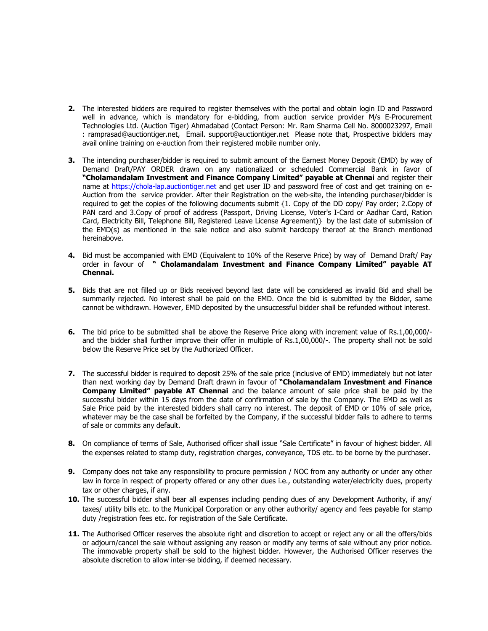- 2. The interested bidders are required to register themselves with the portal and obtain login ID and Password well in advance, which is mandatory for e-bidding, from auction service provider M/s E-Procurement Technologies Ltd. (Auction Tiger) Ahmadabad (Contact Person: Mr. Ram Sharma Cell No. 8000023297, Email : ramprasad@auctiontiger.net, Email. support@auctiontiger.net Please note that, Prospective bidders may avail online training on e-auction from their registered mobile number only.
- 3. The intending purchaser/bidder is required to submit amount of the Earnest Money Deposit (EMD) by way of Demand Draft/PAY ORDER drawn on any nationalized or scheduled Commercial Bank in favor of "Cholamandalam Investment and Finance Company Limited" payable at Chennai and register their name at https://chola-lap.auctiontiger.net and get user ID and password free of cost and get training on e-Auction from the service provider. After their Registration on the web-site, the intending purchaser/bidder is required to get the copies of the following documents submit {1. Copy of the DD copy/ Pay order; 2.Copy of PAN card and 3.Copy of proof of address (Passport, Driving License, Voter's I-Card or Aadhar Card, Ration Card, Electricity Bill, Telephone Bill, Registered Leave License Agreement)} by the last date of submission of the EMD(s) as mentioned in the sale notice and also submit hardcopy thereof at the Branch mentioned hereinabove.
- 4. Bid must be accompanied with EMD (Equivalent to 10% of the Reserve Price) by way of Demand Draft/ Pay order in favour of " Cholamandalam Investment and Finance Company Limited" payable AT Chennai.
- 5. Bids that are not filled up or Bids received beyond last date will be considered as invalid Bid and shall be summarily rejected. No interest shall be paid on the EMD. Once the bid is submitted by the Bidder, same cannot be withdrawn. However, EMD deposited by the unsuccessful bidder shall be refunded without interest.
- 6. The bid price to be submitted shall be above the Reserve Price along with increment value of Rs.1,00,000/ and the bidder shall further improve their offer in multiple of Rs.1,00,000/-. The property shall not be sold below the Reserve Price set by the Authorized Officer.
- 7. The successful bidder is required to deposit 25% of the sale price (inclusive of EMD) immediately but not later than next working day by Demand Draft drawn in favour of "Cholamandalam Investment and Finance Company Limited" payable AT Chennai and the balance amount of sale price shall be paid by the successful bidder within 15 days from the date of confirmation of sale by the Company. The EMD as well as Sale Price paid by the interested bidders shall carry no interest. The deposit of EMD or 10% of sale price, whatever may be the case shall be forfeited by the Company, if the successful bidder fails to adhere to terms of sale or commits any default.
- 8. On compliance of terms of Sale, Authorised officer shall issue "Sale Certificate" in favour of highest bidder. All the expenses related to stamp duty, registration charges, conveyance, TDS etc. to be borne by the purchaser.
- 9. Company does not take any responsibility to procure permission / NOC from any authority or under any other law in force in respect of property offered or any other dues i.e., outstanding water/electricity dues, property tax or other charges, if any.
- 10. The successful bidder shall bear all expenses including pending dues of any Development Authority, if any/ taxes/ utility bills etc. to the Municipal Corporation or any other authority/ agency and fees payable for stamp duty /registration fees etc. for registration of the Sale Certificate.
- 11. The Authorised Officer reserves the absolute right and discretion to accept or reject any or all the offers/bids or adjourn/cancel the sale without assigning any reason or modify any terms of sale without any prior notice. The immovable property shall be sold to the highest bidder. However, the Authorised Officer reserves the absolute discretion to allow inter-se bidding, if deemed necessary.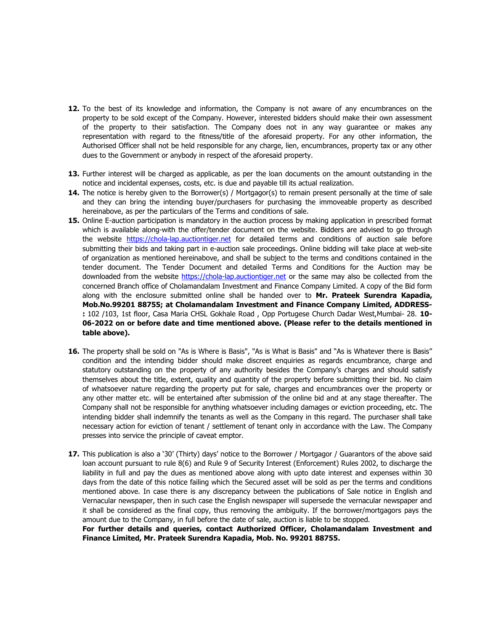- 12. To the best of its knowledge and information, the Company is not aware of any encumbrances on the property to be sold except of the Company. However, interested bidders should make their own assessment of the property to their satisfaction. The Company does not in any way guarantee or makes any representation with regard to the fitness/title of the aforesaid property. For any other information, the Authorised Officer shall not be held responsible for any charge, lien, encumbrances, property tax or any other dues to the Government or anybody in respect of the aforesaid property.
- 13. Further interest will be charged as applicable, as per the loan documents on the amount outstanding in the notice and incidental expenses, costs, etc. is due and payable till its actual realization.
- 14. The notice is hereby given to the Borrower(s) / Mortgagor(s) to remain present personally at the time of sale and they can bring the intending buyer/purchasers for purchasing the immoveable property as described hereinabove, as per the particulars of the Terms and conditions of sale.
- 15. Online E-auction participation is mandatory in the auction process by making application in prescribed format which is available along-with the offer/tender document on the website. Bidders are advised to go through the website https://chola-lap.auctiontiger.net for detailed terms and conditions of auction sale before submitting their bids and taking part in e-auction sale proceedings. Online bidding will take place at web-site of organization as mentioned hereinabove, and shall be subject to the terms and conditions contained in the tender document. The Tender Document and detailed Terms and Conditions for the Auction may be downloaded from the website https://chola-lap.auctiontiger.net or the same may also be collected from the concerned Branch office of Cholamandalam Investment and Finance Company Limited. A copy of the Bid form along with the enclosure submitted online shall be handed over to Mr. Prateek Surendra Kapadia, Mob.No.99201 88755; at Cholamandalam Investment and Finance Company Limited, ADDRESS- : 102 /103, 1st floor, Casa Maria CHSL Gokhale Road, Opp Portugese Church Dadar West, Mumbai- 28. 10-06-2022 on or before date and time mentioned above. (Please refer to the details mentioned in table above).
- 16. The property shall be sold on "As is Where is Basis", "As is What is Basis" and "As is Whatever there is Basis" condition and the intending bidder should make discreet enquiries as regards encumbrance, charge and statutory outstanding on the property of any authority besides the Company's charges and should satisfy themselves about the title, extent, quality and quantity of the property before submitting their bid. No claim of whatsoever nature regarding the property put for sale, charges and encumbrances over the property or any other matter etc. will be entertained after submission of the online bid and at any stage thereafter. The Company shall not be responsible for anything whatsoever including damages or eviction proceeding, etc. The intending bidder shall indemnify the tenants as well as the Company in this regard. The purchaser shall take necessary action for eviction of tenant / settlement of tenant only in accordance with the Law. The Company presses into service the principle of caveat emptor.
- 17. This publication is also a '30' (Thirty) days' notice to the Borrower / Mortgagor / Guarantors of the above said loan account pursuant to rule 8(6) and Rule 9 of Security Interest (Enforcement) Rules 2002, to discharge the liability in full and pay the dues as mentioned above along with upto date interest and expenses within 30 days from the date of this notice failing which the Secured asset will be sold as per the terms and conditions mentioned above. In case there is any discrepancy between the publications of Sale notice in English and Vernacular newspaper, then in such case the English newspaper will supersede the vernacular newspaper and it shall be considered as the final copy, thus removing the ambiguity. If the borrower/mortgagors pays the amount due to the Company, in full before the date of sale, auction is liable to be stopped.

For further details and queries, contact Authorized Officer, Cholamandalam Investment and Finance Limited, Mr. Prateek Surendra Kapadia, Mob. No. 99201 88755.